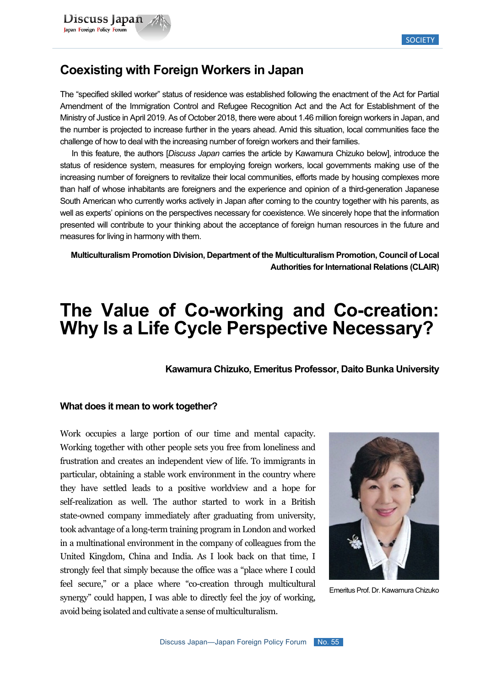## **Coexisting with Foreign Workers in Japan**

The "specified skilled worker" status of residence was established following the enactment of the Act for Partial Amendment of the Immigration Control and Refugee Recognition Act and the Act for Establishment of the Ministry of Justice in April 2019. As of October 2018, there were about 1.46 million foreign workers in Japan, and the number is projected to increase further in the years ahead. Amid this situation, local communities face the challenge of how to deal with the increasing number of foreign workers and their families.

In this feature, the authors [*Discuss Japan* carries the article by Kawamura Chizuko below], introduce the status of residence system, measures for employing foreign workers, local governments making use of the increasing number of foreigners to revitalize their local communities, efforts made by housing complexes more than half of whose inhabitants are foreigners and the experience and opinion of a third-generation Japanese South American who currently works actively in Japan after coming to the country together with his parents, as well as experts' opinions on the perspectives necessary for coexistence. We sincerely hope that the information presented will contribute to your thinking about the acceptance of foreign human resources in the future and measures for living in harmony with them.

**Multiculturalism Promotion Division, Department of the Multiculturalism Promotion, Council of Local Authorities for International Relations (CLAIR)**

# **The Value of Co-working and Co-creation: Why Is a Life Cycle Perspective Necessary?**

**Kawamura Chizuko, Emeritus Professor, Daito Bunka University**

#### **What does it mean to work together?**

Work occupies a large portion of our time and mental capacity. Working together with other people sets you free from loneliness and frustration and creates an independent view of life. To immigrants in particular, obtaining a stable work environment in the country where they have settled leads to a positive worldview and a hope for self-realization as well. The author started to work in a British state-owned company immediately after graduating from university, took advantage of a long-term training program in London and worked in a multinational environment in the company of colleagues from the United Kingdom, China and India. As I look back on that time, I strongly feel that simply because the office was a "place where I could feel secure," or a place where "co-creation through multicultural synergy" could happen, I was able to directly feel the joy of working, avoid being isolated and cultivate a sense of multiculturalism.



Emeritus Prof. Dr. Kawamura Chizuko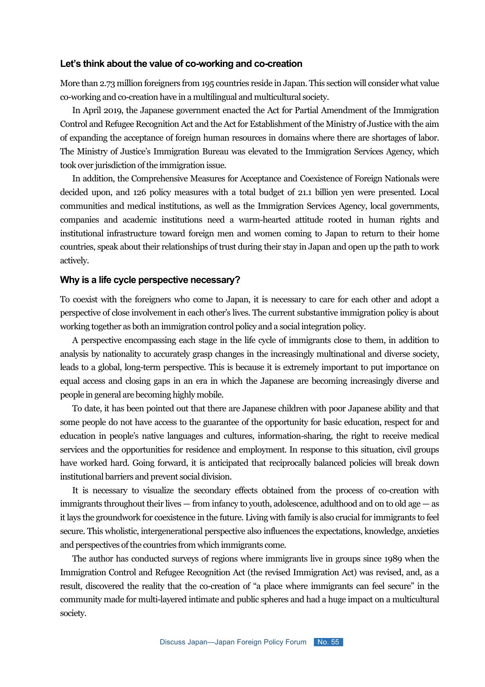#### **Let's think about the value of co-working and co-creation**

More than 2.73 million foreigners from 195 countries reside in Japan. This section will consider what value co-working and co-creation have in a multilingual and multicultural society.

In April 2019, the Japanese government enacted the Act for Partial Amendment of the Immigration Control and Refugee Recognition Act and the Act for Establishment of the Ministry of Justice with the aim of expanding the acceptance of foreign human resources in domains where there are shortages of labor. The Ministry of Justice's Immigration Bureau was elevated to the Immigration Services Agency, which took over jurisdiction of the immigration issue.

In addition, the Comprehensive Measures for Acceptance and Coexistence of Foreign Nationals were decided upon, and 126 policy measures with a total budget of 21.1 billion yen were presented. Local communities and medical institutions, as well as the Immigration Services Agency, local governments, companies and academic institutions need a warm-hearted attitude rooted in human rights and institutional infrastructure toward foreign men and women coming to Japan to return to their home countries, speak about their relationships of trust during their stay in Japan and open up the path to work actively.

#### **Why is a life cycle perspective necessary?**

To coexist with the foreigners who come to Japan, it is necessary to care for each other and adopt a perspective of close involvement in each other's lives. The current substantive immigration policy is about working together as both an immigration control policy and a social integration policy.

A perspective encompassing each stage in the life cycle of immigrants close to them, in addition to analysis by nationality to accurately grasp changes in the increasingly multinational and diverse society, leads to a global, long-term perspective. This is because it is extremely important to put importance on equal access and closing gaps in an era in which the Japanese are becoming increasingly diverse and people in general are becoming highly mobile.

To date, it has been pointed out that there are Japanese children with poor Japanese ability and that some people do not have access to the guarantee of the opportunity for basic education, respect for and education in people's native languages and cultures, information-sharing, the right to receive medical services and the opportunities for residence and employment. In response to this situation, civil groups have worked hard. Going forward, it is anticipated that reciprocally balanced policies will break down institutional barriers and prevent social division.

It is necessary to visualize the secondary effects obtained from the process of co-creation with immigrants throughout their lives — from infancy to youth, adolescence, adulthood and on to old age — as it lays the groundwork for coexistence in the future. Living with family is also crucial for immigrants to feel secure. This wholistic, intergenerational perspective also influences the expectations, knowledge, anxieties and perspectives of the countries from which immigrants come.

The author has conducted surveys of regions where immigrants live in groups since 1989 when the Immigration Control and Refugee Recognition Act (the revised Immigration Act) was revised, and, as a result, discovered the reality that the co-creation of "a place where immigrants can feel secure" in the community made for multi-layered intimate and public spheres and had a huge impact on a multicultural society.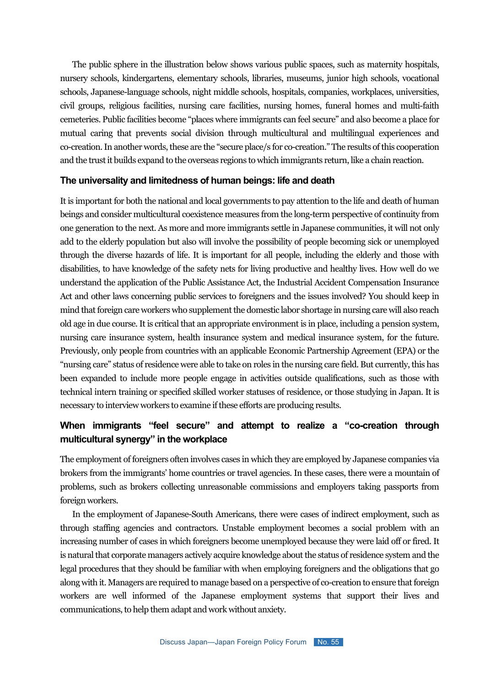The public sphere in the illustration below shows various public spaces, such as maternity hospitals, nursery schools, kindergartens, elementary schools, libraries, museums, junior high schools, vocational schools, Japanese-language schools, night middle schools, hospitals, companies, workplaces, universities, civil groups, religious facilities, nursing care facilities, nursing homes, funeral homes and multi-faith cemeteries. Public facilities become "places where immigrants can feel secure" and also become a place for mutual caring that prevents social division through multicultural and multilingual experiences and co-creation. In another words, these are the "secure place/s for co-creation." The results of this cooperation and the trust it builds expand to the overseas regions to which immigrants return, like a chain reaction.

#### **The universality and limitedness of human beings: life and death**

It is important for both the national and local governments to pay attention to the life and death of human beings and consider multicultural coexistence measures from the long-term perspective of continuity from one generation to the next. As more and more immigrants settle in Japanese communities, it will not only add to the elderly population but also will involve the possibility of people becoming sick or unemployed through the diverse hazards of life. It is important for all people, including the elderly and those with disabilities, to have knowledge of the safety nets for living productive and healthy lives. How well do we understand the application of the Public Assistance Act, the Industrial Accident Compensation Insurance Act and other laws concerning public services to foreigners and the issues involved? You should keep in mind that foreign care workers who supplement the domestic labor shortage in nursing care will also reach old age in due course. It is critical that an appropriate environment is in place, including a pension system, nursing care insurance system, health insurance system and medical insurance system, for the future. Previously, only people from countries with an applicable Economic Partnership Agreement (EPA) or the "nursing care" status of residence were able to take on roles in the nursing care field. But currently, this has been expanded to include more people engage in activities outside qualifications, such as those with technical intern training or specified skilled worker statuses of residence, or those studying in Japan. It is necessary to interview workers to examine if these efforts are producing results.

## **When immigrants "feel secure" and attempt to realize a "co-creation through multicultural synergy" in the workplace**

The employment of foreigners often involves cases in which they are employed by Japanese companies via brokers from the immigrants' home countries or travel agencies. In these cases, there were a mountain of problems, such as brokers collecting unreasonable commissions and employers taking passports from foreign workers.

In the employment of Japanese-South Americans, there were cases of indirect employment, such as through staffing agencies and contractors. Unstable employment becomes a social problem with an increasing number of cases in which foreigners become unemployed because they were laid off or fired. It is natural that corporate managers actively acquire knowledge about the status of residence system and the legal procedures that they should be familiar with when employing foreigners and the obligations that go along with it. Managers are required to manage based on a perspective of co-creation to ensure that foreign workers are well informed of the Japanese employment systems that support their lives and communications, to help them adapt and work without anxiety.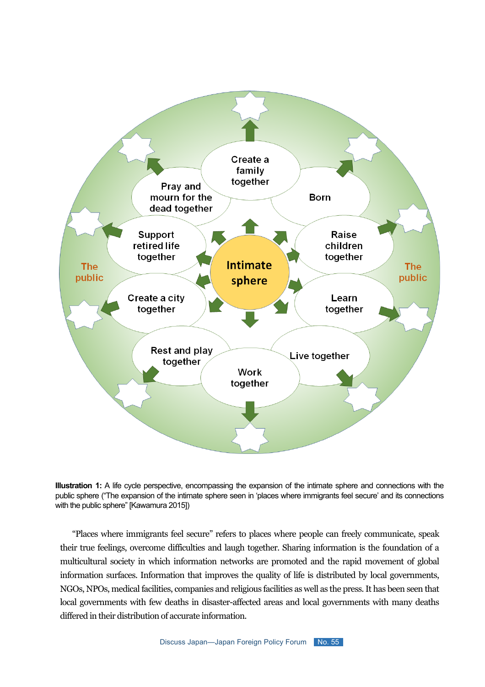

**Illustration 1:** A life cycle perspective, encompassing the expansion of the intimate sphere and connections with the public sphere ("The expansion of the intimate sphere seen in 'places where immigrants feel secure' and its connections with the public sphere" [Kawamura 2015])

"Places where immigrants feel secure" refers to places where people can freely communicate, speak their true feelings, overcome difficulties and laugh together. Sharing information is the foundation of a multicultural society in which information networks are promoted and the rapid movement of global information surfaces. Information that improves the quality of life is distributed by local governments, NGOs, NPOs, medical facilities, companies and religious facilities as well as the press. It has been seen that local governments with few deaths in disaster-affected areas and local governments with many deaths differed in their distribution of accurate information.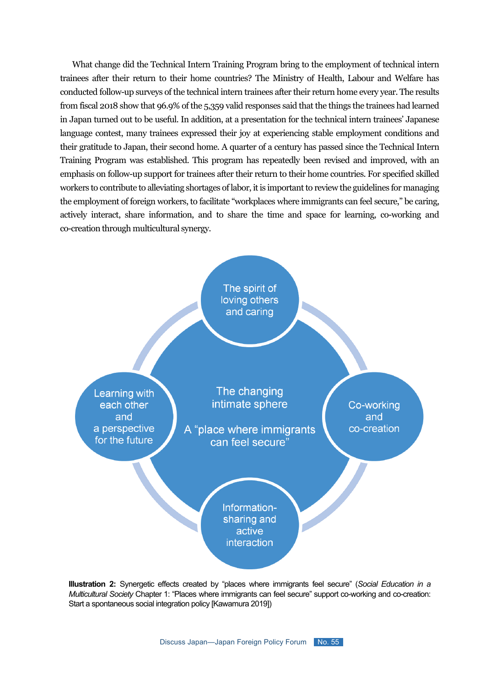What change did the Technical Intern Training Program bring to the employment of technical intern trainees after their return to their home countries? The Ministry of Health, Labour and Welfare has conducted follow-up surveys of the technical intern trainees after their return home every year. The results from fiscal 2018 show that 96.9% of the 5,359 valid responses said that the things the trainees had learned in Japan turned out to be useful. In addition, at a presentation for the technical intern trainees' Japanese language contest, many trainees expressed their joy at experiencing stable employment conditions and their gratitude to Japan, their second home. A quarter of a century has passed since the Technical Intern Training Program was established. This program has repeatedly been revised and improved, with an emphasis on follow-up support for trainees after their return to their home countries. For specified skilled workers to contribute to alleviating shortages of labor, it is important to review the guidelines for managing the employment of foreign workers, to facilitate "workplaces where immigrants can feel secure," be caring, actively interact, share information, and to share the time and space for learning, co-working and co-creation through multicultural synergy.



**Illustration 2:** Synergetic effects created by "places where immigrants feel secure" (*Social Education in a Multicultural Society* Chapter 1: "Places where immigrants can feel secure" support co-working and co-creation: Start a spontaneous social integration policy [Kawamura 2019])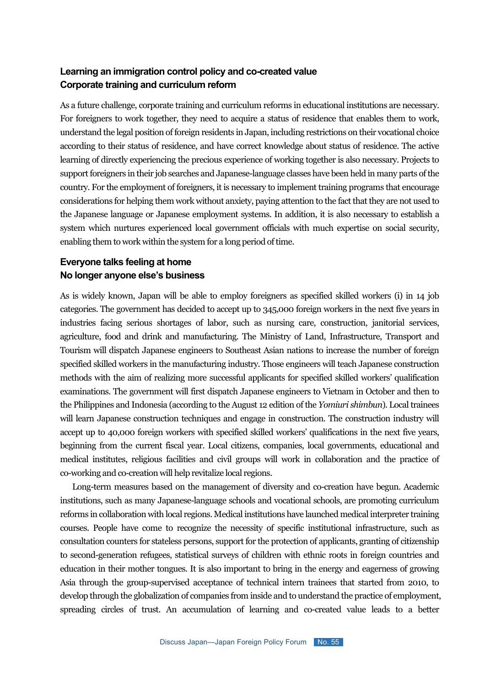### **Learning an immigration control policy and co-created value Corporate training and curriculum reform**

As a future challenge, corporate training and curriculum reforms in educational institutions are necessary. For foreigners to work together, they need to acquire a status of residence that enables them to work, understand the legal position of foreign residents in Japan, including restrictions on their vocational choice according to their status of residence, and have correct knowledge about status of residence. The active learning of directly experiencing the precious experience of working together is also necessary. Projects to support foreigners in their job searches and Japanese-language classes have been held in many parts of the country. For the employment of foreigners, it is necessary to implement training programs that encourage considerations for helping them work without anxiety, paying attention to the fact that they are not used to the Japanese language or Japanese employment systems. In addition, it is also necessary to establish a system which nurtures experienced local government officials with much expertise on social security, enabling them to work within the system for a long period of time.

## **Everyone talks feeling at home No longer anyone else's business**

As is widely known, Japan will be able to employ foreigners as specified skilled workers (i) in 14 job categories. The government has decided to accept up to 345,000 foreign workers in the next five years in industries facing serious shortages of labor, such as nursing care, construction, janitorial services, agriculture, food and drink and manufacturing. The Ministry of Land, Infrastructure, Transport and Tourism will dispatch Japanese engineers to Southeast Asian nations to increase the number of foreign specified skilled workers in the manufacturing industry. Those engineers will teach Japanese construction methods with the aim of realizing more successful applicants for specified skilled workers' qualification examinations. The government will first dispatch Japanese engineers to Vietnam in October and then to the Philippines and Indonesia (according to the August 12 edition of the *Yomiuri shimbun*). Local trainees will learn Japanese construction techniques and engage in construction. The construction industry will accept up to 40,000 foreign workers with specified skilled workers' qualifications in the next five years, beginning from the current fiscal year. Local citizens, companies, local governments, educational and medical institutes, religious facilities and civil groups will work in collaboration and the practice of co-working and co-creation will help revitalize local regions.

Long-term measures based on the management of diversity and co-creation have begun. Academic institutions, such as many Japanese-language schools and vocational schools, are promoting curriculum reforms in collaboration with local regions. Medical institutions have launched medical interpreter training courses. People have come to recognize the necessity of specific institutional infrastructure, such as consultation counters for stateless persons, support for the protection of applicants, granting of citizenship to second-generation refugees, statistical surveys of children with ethnic roots in foreign countries and education in their mother tongues. It is also important to bring in the energy and eagerness of growing Asia through the group-supervised acceptance of technical intern trainees that started from 2010, to develop through the globalization of companies from inside and to understand the practice of employment, spreading circles of trust. An accumulation of learning and co-created value leads to a better